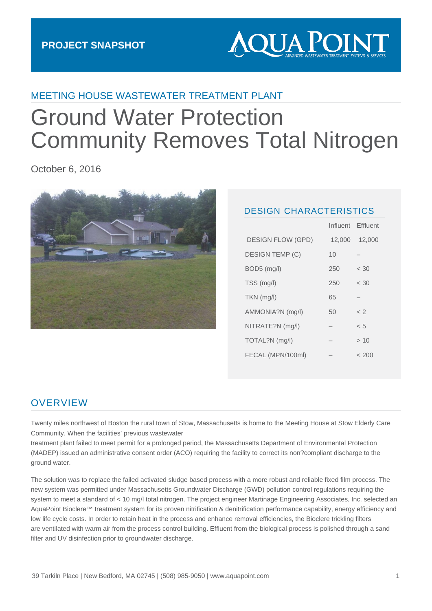

# MEETING HOUSE WASTEWATER TREATMENT PLANT

# Ground Water Protection Community Removes Total Nitrogen

October 6, 2016



#### DESIGN CHARACTERISTICS

|                          | Influent | Effluent    |
|--------------------------|----------|-------------|
| <b>DESIGN FLOW (GPD)</b> | 12,000   | 12,000      |
| <b>DESIGN TEMP (C)</b>   | 10       |             |
| $BOD5$ (mg/l)            | 250      | < 30        |
| TSS (mg/l)               | 250      | < 30        |
| $TKN$ (mg/l)             | 65       |             |
| AMMONIA?N (mg/l)         | 50       | $\langle$ 2 |
| NITRATE?N (mg/l)         |          | < 5         |
| TOTAL?N (mg/l)           |          | >10         |
| FECAL (MPN/100ml)        |          | < 200       |
|                          |          |             |

#### **OVERVIEW**

Twenty miles northwest of Boston the rural town of Stow, Massachusetts is home to the Meeting House at Stow Elderly Care Community. When the facilities' previous wastewater

treatment plant failed to meet permit for a prolonged period, the Massachusetts Department of Environmental Protection (MADEP) issued an administrative consent order (ACO) requiring the facility to correct its non?compliant discharge to the ground water.

The solution was to replace the failed activated sludge based process with a more robust and reliable fixed film process. The new system was permitted under Massachusetts Groundwater Discharge (GWD) pollution control regulations requiring the system to meet a standard of < 10 mg/l total nitrogen. The project engineer Martinage Engineering Associates, Inc. selected an AquaPoint Bioclere™ treatment system for its proven nitrification & denitrification performance capability, energy efficiency and low life cycle costs. In order to retain heat in the process and enhance removal efficiencies, the Bioclere trickling filters are ventilated with warm air from the process control building. Effluent from the biological process is polished through a sand filter and UV disinfection prior to groundwater discharge.